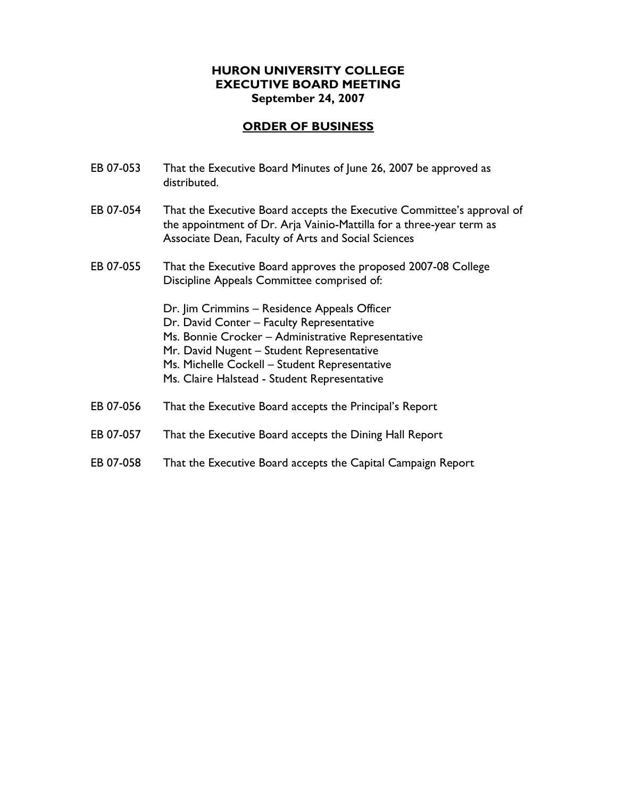# **HURON UNIVERSITY COLLEGE EXECUTIVE BOARD MEETING September 24, 2007**

| That the Executive Board Minutes of June 26, 2007 be approved as<br>distributed.                                                                                                                                                                                                              |
|-----------------------------------------------------------------------------------------------------------------------------------------------------------------------------------------------------------------------------------------------------------------------------------------------|
| That the Executive Board accepts the Executive Committee's approval of<br>the appointment of Dr. Arja Vainio-Mattilla for a three-year term as<br>Associate Dean, Faculty of Arts and Social Sciences                                                                                         |
| That the Executive Board approves the proposed 2007-08 College<br>Discipline Appeals Committee comprised of:                                                                                                                                                                                  |
| Dr. Jim Crimmins - Residence Appeals Officer<br>Dr. David Conter - Faculty Representative<br>Ms. Bonnie Crocker - Administrative Representative<br>Mr. David Nugent - Student Representative<br>Ms. Michelle Cockell - Student Representative<br>Ms. Claire Halstead - Student Representative |
| That the Executive Board accepts the Principal's Report                                                                                                                                                                                                                                       |
| That the Executive Board accepts the Dining Hall Report                                                                                                                                                                                                                                       |
| That the Executive Board accepts the Capital Campaign Report                                                                                                                                                                                                                                  |
|                                                                                                                                                                                                                                                                                               |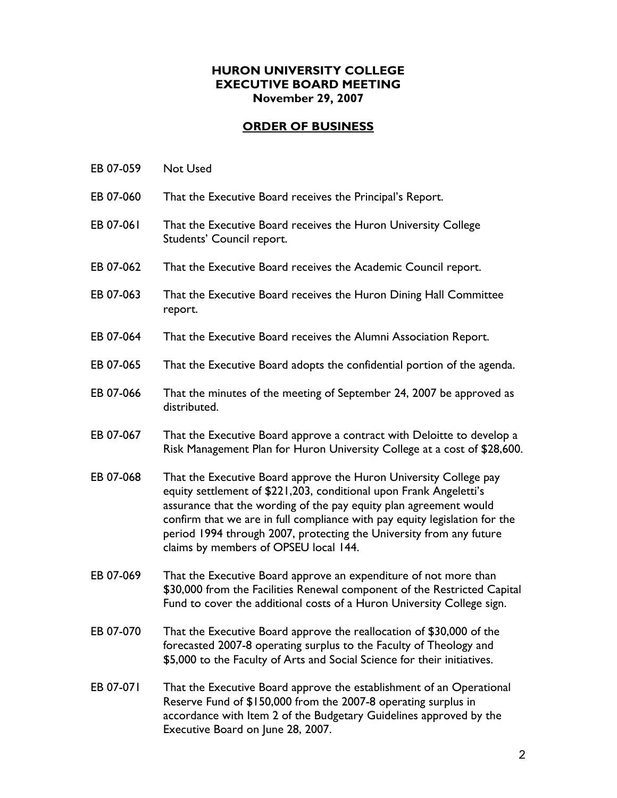## **HURON UNIVERSITY COLLEGE EXECUTIVE BOARD MEETING November 29, 2007**

- EB 07-059 Not Used
- EB 07-060 That the Executive Board receives the Principal's Report.
- EB 07-061 That the Executive Board receives the Huron University College Students' Council report.
- EB 07-062 That the Executive Board receives the Academic Council report.
- EB 07-063 That the Executive Board receives the Huron Dining Hall Committee report.
- EB 07-064 That the Executive Board receives the Alumni Association Report.
- EB 07-065 That the Executive Board adopts the confidential portion of the agenda.
- EB 07-066 That the minutes of the meeting of September 24, 2007 be approved as distributed.
- EB 07-067 That the Executive Board approve a contract with Deloitte to develop a Risk Management Plan for Huron University College at a cost of \$28,600.
- EB 07-068 That the Executive Board approve the Huron University College pay equity settlement of \$221,203, conditional upon Frank Angeletti's assurance that the wording of the pay equity plan agreement would confirm that we are in full compliance with pay equity legislation for the period 1994 through 2007, protecting the University from any future claims by members of OPSEU local 144.
- EB 07-069 That the Executive Board approve an expenditure of not more than \$30,000 from the Facilities Renewal component of the Restricted Capital Fund to cover the additional costs of a Huron University College sign.
- EB 07-070 That the Executive Board approve the reallocation of \$30,000 of the forecasted 2007-8 operating surplus to the Faculty of Theology and \$5,000 to the Faculty of Arts and Social Science for their initiatives.
- EB 07-071 That the Executive Board approve the establishment of an Operational Reserve Fund of \$150,000 from the 2007-8 operating surplus in accordance with Item 2 of the Budgetary Guidelines approved by the Executive Board on June 28, 2007.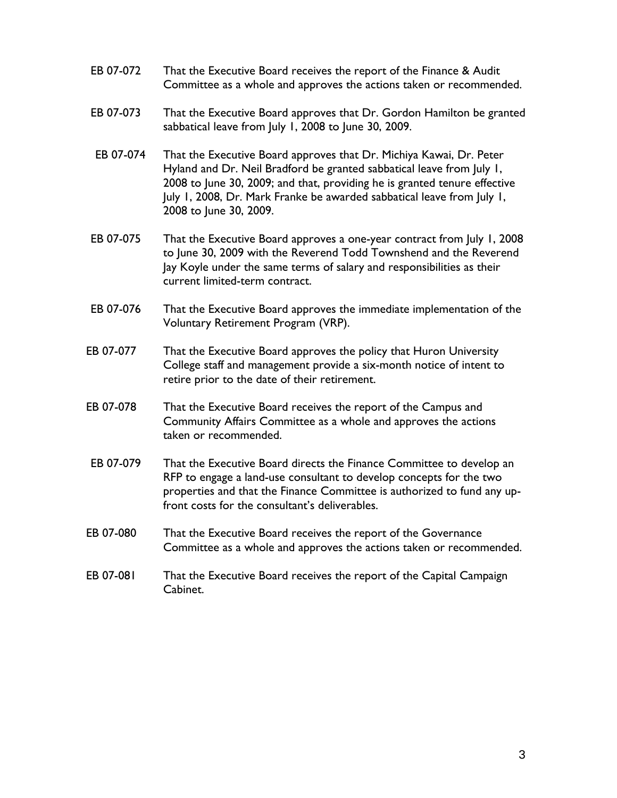- EB 07-072 That the Executive Board receives the report of the Finance & Audit Committee as a whole and approves the actions taken or recommended.
- EB 07-073 That the Executive Board approves that Dr. Gordon Hamilton be granted sabbatical leave from July 1, 2008 to June 30, 2009.
- EB 07-074 That the Executive Board approves that Dr. Michiya Kawai, Dr. Peter Hyland and Dr. Neil Bradford be granted sabbatical leave from July 1, 2008 to June 30, 2009; and that, providing he is granted tenure effective July 1, 2008, Dr. Mark Franke be awarded sabbatical leave from July 1, 2008 to June 30, 2009.
- EB 07-075 That the Executive Board approves a one-year contract from July 1, 2008 to June 30, 2009 with the Reverend Todd Townshend and the Reverend Jay Koyle under the same terms of salary and responsibilities as their current limited-term contract.
- EB 07-076 That the Executive Board approves the immediate implementation of the Voluntary Retirement Program (VRP).
- EB 07-077 That the Executive Board approves the policy that Huron University College staff and management provide a six-month notice of intent to retire prior to the date of their retirement.
- EB 07-078 That the Executive Board receives the report of the Campus and Community Affairs Committee as a whole and approves the actions taken or recommended.
- EB 07-079 That the Executive Board directs the Finance Committee to develop an RFP to engage a land-use consultant to develop concepts for the two properties and that the Finance Committee is authorized to fund any upfront costs for the consultant's deliverables.
- EB 07-080 That the Executive Board receives the report of the Governance Committee as a whole and approves the actions taken or recommended.
- EB 07-081 That the Executive Board receives the report of the Capital Campaign Cabinet.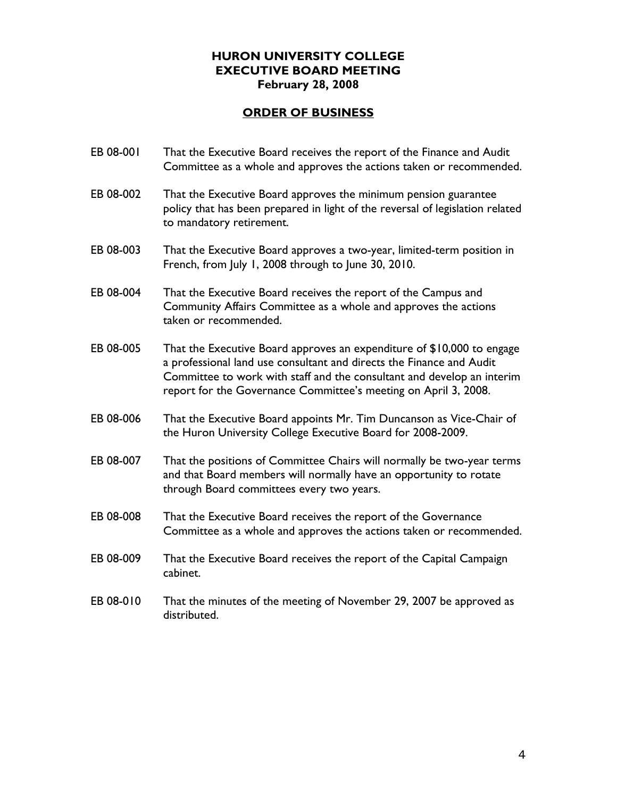### **HURON UNIVERSITY COLLEGE EXECUTIVE BOARD MEETING February 28, 2008**

- EB 08-001 That the Executive Board receives the report of the Finance and Audit Committee as a whole and approves the actions taken or recommended.
- EB 08-002 That the Executive Board approves the minimum pension guarantee policy that has been prepared in light of the reversal of legislation related to mandatory retirement.
- EB 08-003 That the Executive Board approves a two-year, limited-term position in French, from July 1, 2008 through to June 30, 2010.
- EB 08-004 That the Executive Board receives the report of the Campus and Community Affairs Committee as a whole and approves the actions taken or recommended.
- EB 08-005 That the Executive Board approves an expenditure of \$10,000 to engage a professional land use consultant and directs the Finance and Audit Committee to work with staff and the consultant and develop an interim report for the Governance Committee's meeting on April 3, 2008.
- EB 08-006 That the Executive Board appoints Mr. Tim Duncanson as Vice-Chair of the Huron University College Executive Board for 2008-2009.
- EB 08-007 That the positions of Committee Chairs will normally be two-year terms and that Board members will normally have an opportunity to rotate through Board committees every two years.
- EB 08-008 That the Executive Board receives the report of the Governance Committee as a whole and approves the actions taken or recommended.
- EB 08-009 That the Executive Board receives the report of the Capital Campaign cabinet.
- EB 08-010 That the minutes of the meeting of November 29, 2007 be approved as distributed.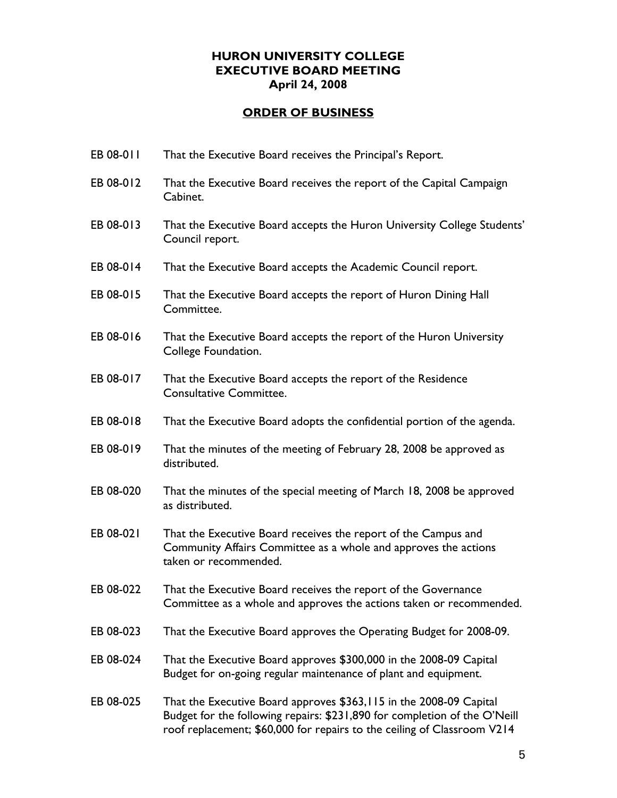### **HURON UNIVERSITY COLLEGE EXECUTIVE BOARD MEETING April 24, 2008**

- EB 08-011 That the Executive Board receives the Principal's Report.
- EB 08-012 That the Executive Board receives the report of the Capital Campaign Cabinet.
- EB 08-013 That the Executive Board accepts the Huron University College Students' Council report.
- EB 08-014 That the Executive Board accepts the Academic Council report.
- EB 08-015 That the Executive Board accepts the report of Huron Dining Hall Committee.
- EB 08-016 That the Executive Board accepts the report of the Huron University College Foundation.
- EB 08-017 That the Executive Board accepts the report of the Residence Consultative Committee.
- EB 08-018 That the Executive Board adopts the confidential portion of the agenda.
- EB 08-019 That the minutes of the meeting of February 28, 2008 be approved as distributed.
- EB 08-020 That the minutes of the special meeting of March 18, 2008 be approved as distributed.
- EB 08-021 That the Executive Board receives the report of the Campus and Community Affairs Committee as a whole and approves the actions taken or recommended.
- EB 08-022 That the Executive Board receives the report of the Governance Committee as a whole and approves the actions taken or recommended.
- EB 08-023 That the Executive Board approves the Operating Budget for 2008-09.
- EB 08-024 That the Executive Board approves \$300,000 in the 2008-09 Capital Budget for on-going regular maintenance of plant and equipment.
- EB 08-025 That the Executive Board approves \$363,115 in the 2008-09 Capital Budget for the following repairs: \$231,890 for completion of the O'Neill roof replacement; \$60,000 for repairs to the ceiling of Classroom V214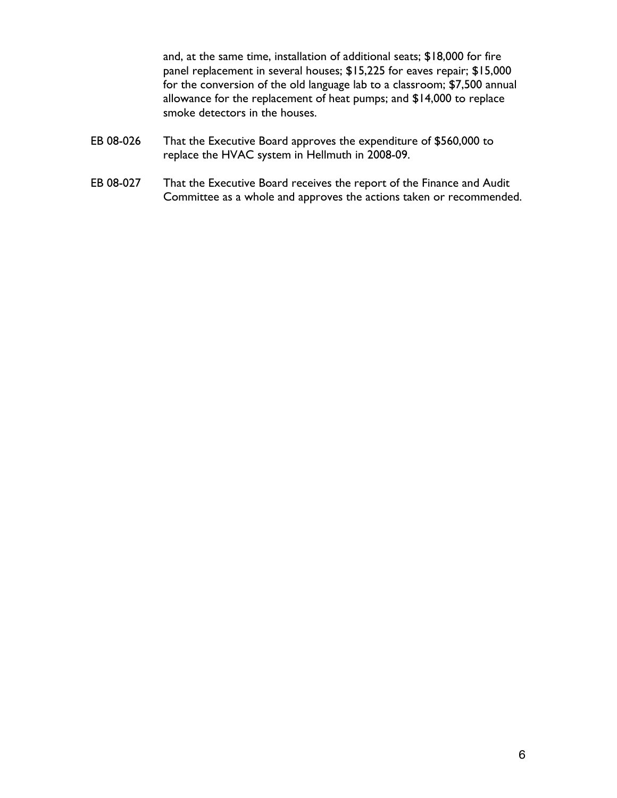and, at the same time, installation of additional seats; \$18,000 for fire panel replacement in several houses; \$15,225 for eaves repair; \$15,000 for the conversion of the old language lab to a classroom; \$7,500 annual allowance for the replacement of heat pumps; and \$14,000 to replace smoke detectors in the houses.

- EB 08-026 That the Executive Board approves the expenditure of \$560,000 to replace the HVAC system in Hellmuth in 2008-09.
- EB 08-027 That the Executive Board receives the report of the Finance and Audit Committee as a whole and approves the actions taken or recommended.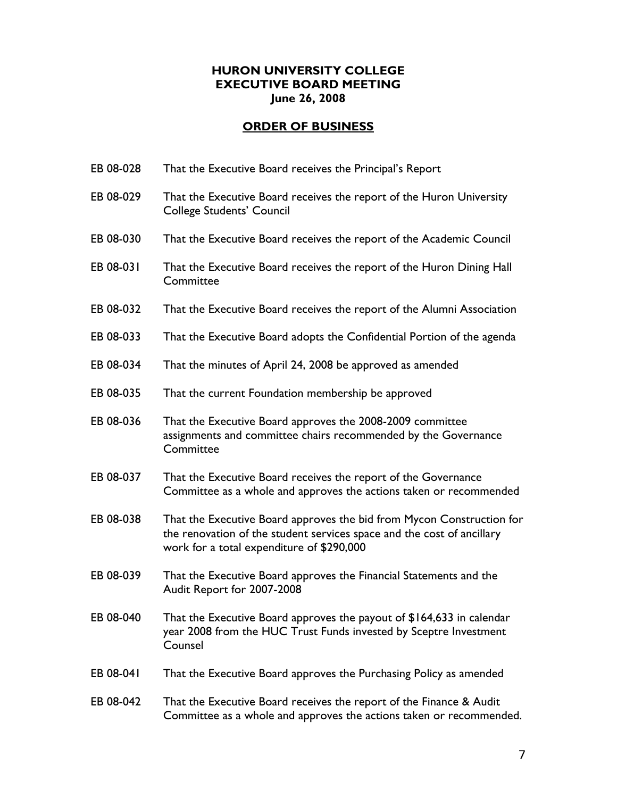# **HURON UNIVERSITY COLLEGE EXECUTIVE BOARD MEETING June 26, 2008**

- EB 08-028 That the Executive Board receives the Principal's Report
- EB 08-029 That the Executive Board receives the report of the Huron University College Students' Council
- EB 08-030 That the Executive Board receives the report of the Academic Council
- EB 08-031 That the Executive Board receives the report of the Huron Dining Hall **Committee**
- EB 08-032 That the Executive Board receives the report of the Alumni Association
- EB 08-033 That the Executive Board adopts the Confidential Portion of the agenda
- EB 08-034 That the minutes of April 24, 2008 be approved as amended
- EB 08-035 That the current Foundation membership be approved
- EB 08-036 That the Executive Board approves the 2008-2009 committee assignments and committee chairs recommended by the Governance **Committee**
- EB 08-037 That the Executive Board receives the report of the Governance Committee as a whole and approves the actions taken or recommended
- EB 08-038 That the Executive Board approves the bid from Mycon Construction for the renovation of the student services space and the cost of ancillary work for a total expenditure of \$290,000
- EB 08-039 That the Executive Board approves the Financial Statements and the Audit Report for 2007-2008
- EB 08-040 That the Executive Board approves the payout of \$164,633 in calendar year 2008 from the HUC Trust Funds invested by Sceptre Investment Counsel
- EB 08-041 That the Executive Board approves the Purchasing Policy as amended
- EB 08-042 That the Executive Board receives the report of the Finance & Audit Committee as a whole and approves the actions taken or recommended.